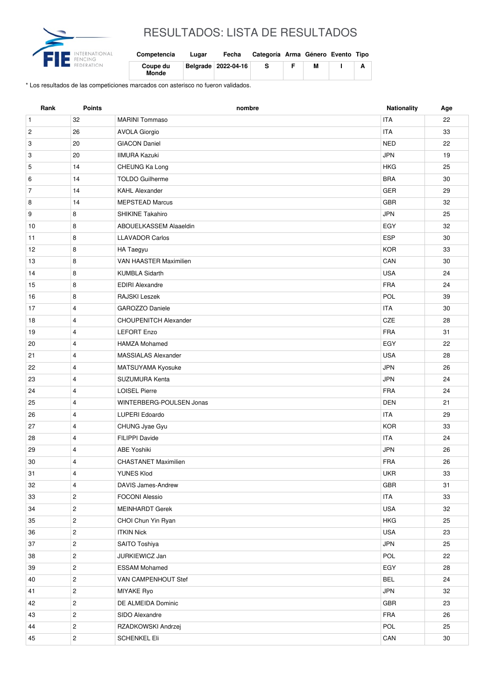

## RESULTADOS: LISTA DE RESULTADOS

| Competencia              | Lugar | Fecha               | Categoría Arma Género Evento Tipo |   |  |
|--------------------------|-------|---------------------|-----------------------------------|---|--|
| Coupe du<br><b>Monde</b> |       | Belarade 2022-04-16 | s                                 | м |  |

\* Los resultados de las competiciones marcados con asterisco no fueron validados.

| Rank           | <b>Points</b>  | nombre                             | Nationality | Age |
|----------------|----------------|------------------------------------|-------------|-----|
| $\mathbf{1}$   | 32             | <b>MARINI Tommaso</b>              | <b>ITA</b>  | 22  |
| $\overline{c}$ | 26             | <b>ITA</b><br><b>AVOLA Giorgio</b> |             | 33  |
| 3              | 20             | <b>GIACON Daniel</b><br><b>NED</b> |             | 22  |
| 3              | 20             | <b>JPN</b><br><b>IIMURA Kazuki</b> |             | 19  |
| 5              | 14             | <b>HKG</b><br>CHEUNG Ka Long       |             | 25  |
| 6              | 14             | <b>TOLDO Guilherme</b>             | <b>BRA</b>  | 30  |
| $\overline{7}$ | 14             | <b>KAHL Alexander</b>              | <b>GER</b>  | 29  |
| 8              | 14             | <b>MEPSTEAD Marcus</b>             | GBR         | 32  |
| 9              | 8              | SHIKINE Takahiro                   | <b>JPN</b>  | 25  |
| 10             | 8              | ABOUELKASSEM Alaaeldin             | EGY         | 32  |
| 11             | 8              | <b>LLAVADOR Carlos</b>             | <b>ESP</b>  | 30  |
| 12             | 8              | HA Taegyu                          | <b>KOR</b>  | 33  |
| 13             | 8              | VAN HAASTER Maximilien             | CAN         | 30  |
| 14             | 8              | <b>KUMBLA Sidarth</b>              | <b>USA</b>  | 24  |
| 15             | 8              | <b>EDIRI Alexandre</b>             | <b>FRA</b>  | 24  |
| 16             | 8              | RAJSKI Leszek                      | POL         | 39  |
| 17             | $\overline{4}$ | GAROZZO Daniele                    | <b>ITA</b>  | 30  |
| 18             | $\overline{4}$ | <b>CHOUPENITCH Alexander</b>       | <b>CZE</b>  | 28  |
| 19             | $\overline{4}$ | <b>LEFORT Enzo</b>                 | <b>FRA</b>  | 31  |
| 20             | 4              | <b>HAMZA Mohamed</b>               | EGY         | 22  |
| 21             | $\overline{4}$ | <b>MASSIALAS Alexander</b>         | <b>USA</b>  | 28  |
| 22             | 4              | MATSUYAMA Kyosuke                  | <b>JPN</b>  | 26  |
| 23             | $\overline{4}$ | SUZUMURA Kenta                     | <b>JPN</b>  | 24  |
| 24             | 4              | <b>LOISEL Pierre</b>               | <b>FRA</b>  | 24  |
| 25             | $\overline{4}$ | WINTERBERG-POULSEN Jonas           | <b>DEN</b>  | 21  |
| 26             | $\overline{4}$ | LUPERI Edoardo                     | <b>ITA</b>  | 29  |
| 27             | $\overline{4}$ | CHUNG Jyae Gyu                     | <b>KOR</b>  | 33  |
| 28             | $\overline{4}$ | <b>FILIPPI Davide</b>              | <b>ITA</b>  | 24  |
| 29             | $\overline{4}$ | <b>ABE Yoshiki</b>                 | <b>JPN</b>  | 26  |
| 30             | 4              | <b>CHASTANET Maximilien</b>        | <b>FRA</b>  | 26  |
| 31             | 4              | YUNES Klod                         | <b>UKR</b>  | 33  |
| 32             | $\overline{4}$ | <b>DAVIS James-Andrew</b>          | <b>GBR</b>  | 31  |
| 33             | $\overline{2}$ | <b>FOCONI Alessio</b>              | <b>ITA</b>  | 33  |
| 34             | $\mathbf{2}$   | <b>MEINHARDT Gerek</b>             | <b>USA</b>  | 32  |
| 35             | $\overline{2}$ | CHOI Chun Yin Ryan                 | HKG         | 25  |
| 36             | $\overline{c}$ | <b>ITKIN Nick</b>                  | USA         | 23  |
| 37             | $\overline{c}$ | SAITO Toshiya                      | JPN         | 25  |
| 38             | $\overline{2}$ | JURKIEWICZ Jan                     | POL         | 22  |
| 39             | $\overline{c}$ | <b>ESSAM Mohamed</b>               | EGY         | 28  |
| 40             | $\overline{2}$ | VAN CAMPENHOUT Stef                | <b>BEL</b>  | 24  |
| 41             | $\overline{2}$ | MIYAKE Ryo                         | <b>JPN</b>  | 32  |
| 42             | $\overline{2}$ | DE ALMEIDA Dominic                 | GBR         | 23  |
| 43             | $\overline{2}$ | SIDO Alexandre                     | FRA         | 26  |
| 44             | $\overline{2}$ | RZADKOWSKI Andrzej                 | POL         | 25  |
| 45             | $\overline{2}$ | <b>SCHENKEL Eli</b>                | CAN         | 30  |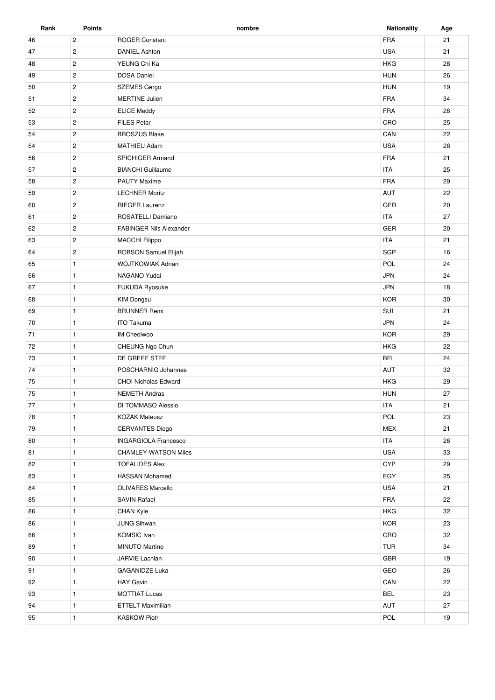| Rank | <b>Points</b>  | nombre                         | <b>Nationality</b> | Age |
|------|----------------|--------------------------------|--------------------|-----|
| 46   | $\overline{c}$ | <b>ROGER Constant</b>          | <b>FRA</b>         | 21  |
| 47   | $\mathbf{2}$   | <b>DANIEL Ashton</b>           | <b>USA</b>         | 21  |
| 48   | $\mathbf{2}$   | YEUNG Chi Ka                   | <b>HKG</b>         | 28  |
| 49   | $\overline{c}$ | <b>DOSA Daniel</b>             | <b>HUN</b>         | 26  |
| 50   | $\mathbf{2}$   | <b>SZEMES Gergo</b>            | <b>HUN</b>         | 19  |
| 51   | $\mathbf{2}$   | <b>MERTINE Julien</b>          | <b>FRA</b>         | 34  |
| 52   | $\mathbf{2}$   | <b>ELICE Meddy</b>             | FRA                | 26  |
| 53   | $\overline{2}$ | <b>FILES Petar</b>             | CRO                | 25  |
| 54   | $\overline{2}$ | <b>BROSZUS Blake</b>           | CAN                | 22  |
| 54   | $\overline{2}$ | <b>MATHIEU Adam</b>            | <b>USA</b>         | 28  |
| 56   | $\overline{c}$ | SPICHIGER Armand               | FRA                | 21  |
| 57   | $\overline{2}$ | <b>BIANCHI</b> Guillaume       | <b>ITA</b>         | 25  |
| 58   | $\overline{2}$ | <b>PAUTY Maxime</b>            | <b>FRA</b>         | 29  |
| 59   | $\mathbf{2}$   | <b>LECHNER Moritz</b>          | AUT                | 22  |
| 60   | $\mathbf{2}$   | <b>RIEGER Laurenz</b>          | <b>GER</b>         | 20  |
|      | $\overline{c}$ | ROSATELLI Damiano              | <b>ITA</b>         | 27  |
| 61   |                | <b>FABINGER Nils Alexander</b> |                    |     |
| 62   | $\overline{c}$ |                                | GER                | 20  |
| 63   | $\overline{c}$ | <b>MACCHI Filippo</b>          | <b>ITA</b>         | 21  |
| 64   | $\overline{2}$ | ROBSON Samuel Elijah           | SGP                | 16  |
| 65   | $\mathbf{1}$   | <b>WOJTKOWIAK Adrian</b>       | POL                | 24  |
| 66   | $\mathbf{1}$   | NAGANO Yudai                   | <b>JPN</b>         | 24  |
| 67   | $\mathbf{1}$   | FUKUDA Ryosuke                 | <b>JPN</b>         | 18  |
| 68   | $\mathbf{1}$   | <b>KIM Dongsu</b>              | <b>KOR</b>         | 30  |
| 69   | $\mathbf{1}$   | <b>BRUNNER Remi</b>            | SUI                | 21  |
| 70   | $\mathbf{1}$   | <b>ITO Takuma</b>              | <b>JPN</b>         | 24  |
| 71   | $\mathbf{1}$   | IM Cheolwoo                    | <b>KOR</b>         | 29  |
| 72   | $\mathbf{1}$   | CHEUNG Ngo Chun                | <b>HKG</b>         | 22  |
| 73   | $\mathbf{1}$   | DE GREEF STEF                  | <b>BEL</b>         | 24  |
| 74   | $\mathbf{1}$   | POSCHARNIG Johannes            | AUT                | 32  |
| 75   | $\mathbf{1}$   | <b>CHOI Nicholas Edward</b>    | <b>HKG</b>         | 29  |
| 75   | $\mathbf{1}$   | <b>NEMETH Andras</b>           | <b>HUN</b>         | 27  |
| 77   | $\mathbf{1}$   | DI TOMMASO Alessio             | <b>ITA</b>         | 21  |
| 78   | $\mathbf{1}$   | <b>KOZAK Mateusz</b>           | POL                | 23  |
| 79   | $\mathbf{1}$   | <b>CERVANTES Diego</b>         | <b>MEX</b>         | 21  |
| 80   | $\mathbf{1}$   | <b>INGARGIOLA Francesco</b>    | <b>ITA</b>         | 26  |
| 81   | $\mathbf{1}$   | <b>CHAMLEY-WATSON Miles</b>    | <b>USA</b>         | 33  |
| 82   | $\mathbf{1}$   | <b>TOFALIDES Alex</b>          | <b>CYP</b>         | 29  |
| 83   | $\mathbf{1}$   | <b>HASSAN Mohamed</b>          | EGY                | 25  |
| 84   | $\mathbf{1}$   | <b>OLIVARES Marcello</b>       | <b>USA</b>         | 21  |
| 85   | $\mathbf{1}$   | <b>SAVIN Rafael</b>            | FRA                | 22  |
| 86   | $\mathbf{1}$   | <b>CHAN Kyle</b>               | <b>HKG</b>         | 32  |
| 86   | $\mathbf{1}$   | JUNG Sihwan                    | <b>KOR</b>         | 23  |
| 86   | $\mathbf{1}$   | <b>KOMSIC</b> Ivan             | CRO                | 32  |
| 89   | $\mathbf{1}$   | MINUTO Martino                 | <b>TUR</b>         | 34  |
| 90   | $\mathbf{1}$   | JARVIE Lachlan                 | GBR                | 19  |
| 91   | $\mathbf{1}$   | <b>GAGANIDZE Luka</b>          | GEO                | 26  |
| 92   | $\mathbf{1}$   | HAY Gavin                      | CAN                | 22  |
| 93   | $\mathbf{1}$   | <b>MOTTIAT Lucas</b>           | <b>BEL</b>         | 23  |
| 94   | $\mathbf{1}$   | <b>ETTELT Maximilian</b>       | AUT                | 27  |
| 95   | $\mathbf{1}$   | <b>KASKOW Piotr</b>            | POL                | 19  |
|      |                |                                |                    |     |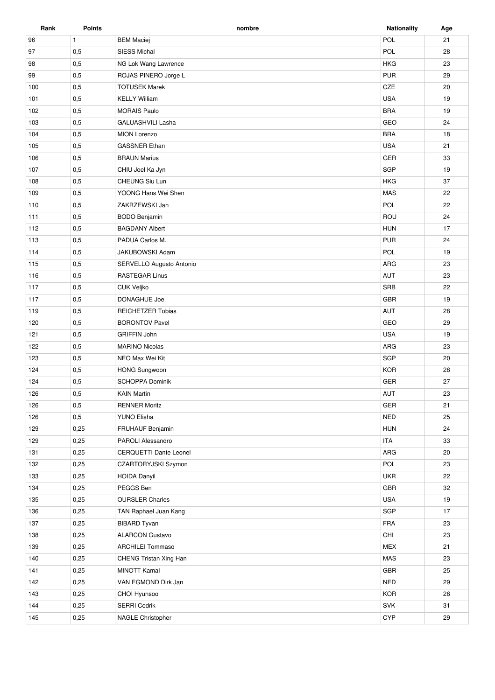| Rank | <b>Points</b> | nombre                   | <b>Nationality</b> | Age |
|------|---------------|--------------------------|--------------------|-----|
| 96   | $\mathbf{1}$  | <b>BEM Maciej</b>        | POL                | 21  |
| 97   | 0,5           | <b>SIESS Michal</b>      | POL                | 28  |
| 98   | 0,5           | NG Lok Wang Lawrence     | <b>HKG</b>         | 23  |
| 99   | 0,5           | ROJAS PINERO Jorge L     | <b>PUR</b>         | 29  |
| 100  | 0,5           | <b>TOTUSEK Marek</b>     | CZE                | 20  |
| 101  | 0,5           | <b>KELLY William</b>     | <b>USA</b>         | 19  |
| 102  | 0,5           | <b>MORAIS Paulo</b>      | <b>BRA</b>         | 19  |
| 103  | 0,5           | <b>GALUASHVILI Lasha</b> | GEO                | 24  |
| 104  | 0,5           | <b>MION Lorenzo</b>      | <b>BRA</b>         | 18  |
| 105  | 0,5           | <b>GASSNER Ethan</b>     | <b>USA</b>         | 21  |
| 106  | 0,5           | <b>BRAUN Marius</b>      | GER                | 33  |
| 107  | 0,5           | CHIU Joel Ka Jyn         | SGP                | 19  |
| 108  | 0,5           | CHEUNG Siu Lun           | <b>HKG</b>         | 37  |
| 109  | 0,5           | YOONG Hans Wei Shen      | <b>MAS</b>         | 22  |
| 110  | 0,5           | ZAKRZEWSKI Jan           | POL                | 22  |
| 111  | 0,5           | <b>BODO Benjamin</b>     | ROU                | 24  |
| 112  | 0,5           | <b>BAGDANY Albert</b>    | <b>HUN</b>         | 17  |
| 113  | 0,5           | PADUA Carlos M.          | <b>PUR</b>         | 24  |
| 114  | 0,5           | JAKUBOWSKI Adam          | POL                | 19  |
| 115  | 0,5           | SERVELLO Augusto Antonio | ARG                | 23  |
| 116  | 0,5           | <b>RASTEGAR Linus</b>    | <b>AUT</b>         | 23  |
| 117  | 0,5           | <b>CUK Veljko</b>        | SRB                | 22  |
| 117  | 0,5           | DONAGHUE Joe             | <b>GBR</b>         | 19  |
| 119  | 0,5           | <b>REICHETZER Tobias</b> | <b>AUT</b>         | 28  |
| 120  | 0,5           | <b>BORONTOV Pavel</b>    | GEO                | 29  |
| 121  | 0,5           | <b>GRIFFIN John</b>      | <b>USA</b>         | 19  |
| 122  | 0,5           | <b>MARINO Nicolas</b>    | ARG                | 23  |
| 123  | 0,5           | NEO Max Wei Kit          | <b>SGP</b>         | 20  |
| 124  | 0,5           | <b>HONG Sungwoon</b>     | <b>KOR</b>         | 28  |
| 124  | 0,5           | <b>SCHOPPA Dominik</b>   | <b>GER</b>         | 27  |
| 126  | 0,5           | <b>KAIN Martin</b>       | <b>AUT</b>         | 23  |
| 126  | 0,5           | <b>RENNER Moritz</b>     | GER                | 21  |
| 126  | 0,5           | YUNO Elisha              | <b>NED</b>         | 25  |
| 129  | 0,25          | FRUHAUF Benjamin         | <b>HUN</b>         | 24  |
| 129  | 0,25          | PAROLI Alessandro        | <b>ITA</b>         | 33  |
| 131  | 0,25          | CERQUETTI Dante Leonel   | ARG                | 20  |
| 132  | 0,25          | CZARTORYJSKI Szymon      | POL                | 23  |
| 133  | 0,25          | <b>HOIDA Danyil</b>      | <b>UKR</b>         | 22  |
| 134  | 0,25          | PEGGS Ben                | GBR                | 32  |
| 135  | 0,25          | <b>OURSLER Charles</b>   | <b>USA</b>         | 19  |
| 136  | 0,25          | TAN Raphael Juan Kang    | SGP                | 17  |
| 137  | 0,25          | <b>BIBARD Tyvan</b>      | <b>FRA</b>         | 23  |
| 138  | 0,25          | <b>ALARCON Gustavo</b>   | CHI                | 23  |
| 139  | 0,25          | <b>ARCHILEI Tommaso</b>  | <b>MEX</b>         | 21  |
| 140  | 0,25          | CHENG Tristan Xing Han   | MAS                | 23  |
| 141  | 0,25          | <b>MINOTT Kamal</b>      | GBR                | 25  |
| 142  | 0,25          | VAN EGMOND Dirk Jan      | <b>NED</b>         | 29  |
| 143  | 0,25          | CHOI Hyunsoo             | <b>KOR</b>         | 26  |
| 144  | 0,25          | <b>SERRI Cedrik</b>      | <b>SVK</b>         | 31  |
| 145  | 0,25          | <b>NAGLE Christopher</b> | CYP                | 29  |
|      |               |                          |                    |     |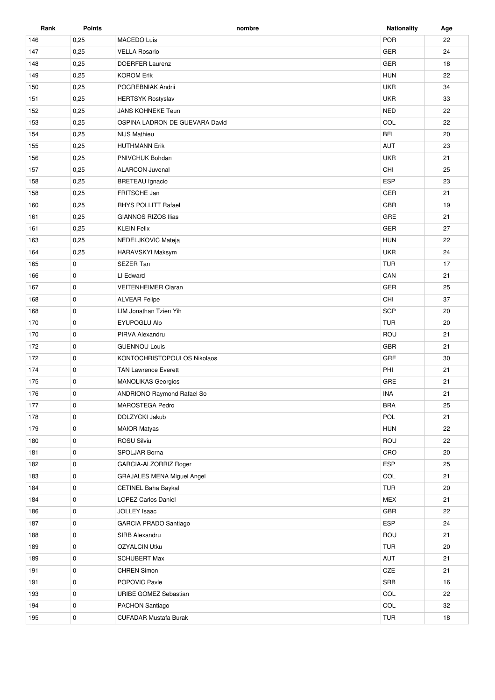| Rank | <b>Points</b> | nombre                            | <b>Nationality</b> | Age |
|------|---------------|-----------------------------------|--------------------|-----|
| 146  | 0,25          | <b>MACEDO Luis</b>                | POR                | 22  |
| 147  | 0,25          | <b>VELLA Rosario</b>              | GER                | 24  |
| 148  | 0,25          | <b>DOERFER Laurenz</b>            | <b>GER</b>         | 18  |
| 149  | 0,25          | <b>HUN</b><br><b>KOROM Erik</b>   |                    | 22  |
| 150  | 0,25          | <b>UKR</b><br>POGREBNIAK Andrii   |                    | 34  |
| 151  | 0,25          | <b>HERTSYK Rostyslav</b>          | <b>UKR</b>         | 33  |
| 152  | 0,25          | <b>JANS KOHNEKE Teun</b>          | <b>NED</b>         | 22  |
| 153  | 0,25          | OSPINA LADRON DE GUEVARA David    | COL                | 22  |
| 154  | 0,25          | <b>NIJS Mathieu</b>               | <b>BEL</b>         | 20  |
| 155  | 0,25          | <b>HUTHMANN Erik</b>              | <b>AUT</b>         | 23  |
| 156  | 0,25          | PNIVCHUK Bohdan                   | <b>UKR</b>         | 21  |
| 157  | 0,25          | <b>ALARCON Juvenal</b>            | CHI                | 25  |
| 158  | 0,25          | <b>BRETEAU</b> Ignacio            | <b>ESP</b>         | 23  |
| 158  | 0,25          | FRITSCHE Jan                      | <b>GER</b>         | 21  |
| 160  | 0,25          | <b>RHYS POLLITT Rafael</b>        | <b>GBR</b>         | 19  |
| 161  | 0,25          | <b>GIANNOS RIZOS Ilias</b>        | GRE                | 21  |
| 161  | 0,25          | <b>KLEIN Felix</b>                | <b>GER</b>         | 27  |
| 163  | 0,25          | NEDELJKOVIC Mateja                | <b>HUN</b>         | 22  |
| 164  | 0,25          | HARAVSKYI Maksym                  | <b>UKR</b>         | 24  |
| 165  | 0             | <b>SEZER Tan</b>                  | <b>TUR</b>         | 17  |
| 166  | 0             | LI Edward                         | CAN                | 21  |
| 167  | 0             | <b>VEITENHEIMER Ciaran</b>        | GER                | 25  |
| 168  | $\mathbf 0$   | <b>ALVEAR Felipe</b>              | CHI                | 37  |
| 168  | $\mathbf 0$   | LIM Jonathan Tzien Yih            | <b>SGP</b>         | 20  |
| 170  | 0             | EYUPOGLU Alp                      | <b>TUR</b>         | 20  |
| 170  | 0             | PIRVA Alexandru                   | ROU                | 21  |
| 172  | 0             | <b>GUENNOU Louis</b>              | <b>GBR</b>         | 21  |
| 172  | 0             | KONTOCHRISTOPOULOS Nikolaos       | GRE                | 30  |
| 174  | $\mathbf 0$   | <b>TAN Lawrence Everett</b>       | PHI                | 21  |
| 175  | 0             | <b>MANOLIKAS Georgios</b>         | GRE                | 21  |
| 176  | $\mathbf 0$   | <b>ANDRIONO Raymond Rafael So</b> | <b>INA</b>         | 21  |
| 177  | 0             | MAROSTEGA Pedro                   | <b>BRA</b>         | 25  |
| 178  | 0             | DOLZYCKI Jakub                    | POL                | 21  |
| 179  | 0             | <b>MAIOR Matyas</b>               | <b>HUN</b>         | 22  |
| 180  | 0             | ROSU Silviu                       | ROU                | 22  |
| 181  | 0             | SPOLJAR Borna                     | CRO                | 20  |
| 182  | 0             | GARCIA-ALZORRIZ Roger             | ESP                | 25  |
| 183  | 0             | <b>GRAJALES MENA Miguel Angel</b> | COL                | 21  |
| 184  | 0             | CETINEL Baha Baykal               | <b>TUR</b>         | 20  |
| 184  | 0             | <b>LOPEZ Carlos Daniel</b>        | <b>MEX</b>         | 21  |
| 186  | 0             | <b>JOLLEY Isaac</b>               | GBR                | 22  |
| 187  | 0             | GARCIA PRADO Santiago             | ESP                | 24  |
| 188  | 0             | SIRB Alexandru                    | ROU                | 21  |
| 189  | 0             | <b>OZYALCIN Utku</b>              | <b>TUR</b>         | 20  |
| 189  | 0             | <b>SCHUBERT Max</b>               | AUT                | 21  |
| 191  | $\mathbf 0$   | <b>CHREN Simon</b>                | CZE                | 21  |
| 191  | 0             | POPOVIC Pavle                     | SRB                | 16  |
| 193  | 0             | URIBE GOMEZ Sebastian             | COL                | 22  |
| 194  | 0             | PACHON Santiago                   | COL                | 32  |
| 195  | 0             | <b>CUFADAR Mustafa Burak</b>      | <b>TUR</b>         | 18  |
|      |               |                                   |                    |     |